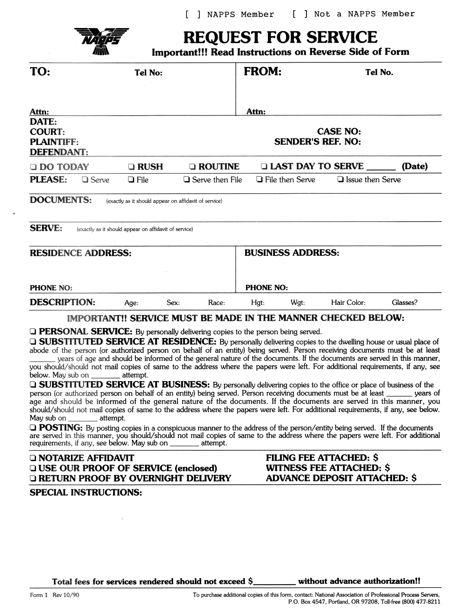

# **REQUEST FOR SERVICE**

**Important!!! Read Instructions on Reverse Side of Form** 

| TO:                                                              |                           | Tel No:                                               |                                             | <b>FROM:</b>               | Tel No.                  |        |  |
|------------------------------------------------------------------|---------------------------|-------------------------------------------------------|---------------------------------------------|----------------------------|--------------------------|--------|--|
| Attn:                                                            |                           |                                                       |                                             | Attn:                      |                          |        |  |
| DATE:<br><b>COURT:</b><br><b>PLAINTIFF:</b><br><b>DEFENDANT:</b> |                           |                                                       | <b>CASE NO:</b><br><b>SENDER'S REF. NO:</b> |                            |                          |        |  |
| <b>DO TODAY</b>                                                  |                           | $\Box$ RUSH                                           | <b>Q ROUTINE</b>                            | <b>LAST DAY TO SERVE _</b> |                          | (Date) |  |
| <b>PLEASE:</b>                                                   | $\Box$ Serve              | $\Box$ File                                           | $\Box$ Serve then File                      | $\Box$ File then Serve     | $\Box$ Issue then Serve  |        |  |
| <b>DOCUMENTS:</b>                                                |                           | (exactly as it should appear on affidavit of service) |                                             |                            |                          |        |  |
| <b>SERVE:</b>                                                    |                           | (exactly as it should appear on affidavit of service) |                                             |                            |                          |        |  |
|                                                                  | <b>RESIDENCE ADDRESS:</b> |                                                       |                                             |                            | <b>BUSINESS ADDRESS:</b> |        |  |
|                                                                  |                           |                                                       |                                             |                            |                          |        |  |
|                                                                  |                           |                                                       |                                             |                            |                          |        |  |
| <b>PHONE NO:</b>                                                 |                           |                                                       |                                             | <b>PHONE NO:</b>           |                          |        |  |

### **IMPORTANT!! SERVICE MUST BE MADE IN THE MANNER CHECKED BELOW:**

**PERSONAL SERVICE:** By personally delivering copies to the person being served.

**GUBSTITUTED SERVICE AT RESIDENCE:** By personally delivering copies to the dwelling house or usual place of abode of the person (or authorized person on behalf of an entity) being served. Person receiving documents must be at least years of age and should be informed of the general nature of the documents. If the documents are served in this manner, you should/should not mail copies of same to the address where the papers were left. For additional requirements, if any, see below. May sub on attempt.

**GUBSTITUTED SERVICE AT BUSINESS:** By personally delivering copies to the office or place of business of the person (or authorized person on behalf of an entity) being served. Person receiving documents must be at least \_\_\_\_\_\_ years of age and should be informed of the general nature of the documents. If the documents are served in this manner, you should/should not mail copies of same to the address where the papers were left. For additional requirements, if any, see below. attempt. May sub on

 $\Box$  **POSTING:** By posting copies in a conspicuous manner to the address of the person/entity being served. If the documents are served in this manner, you should/should not mail copies of same to the address where the papers were left. For additional requirements, if any, see below. May sub on attempt.

### **DINOTARIZE AFFIDAVIT QUSE OUR PROOF OF SERVICE (enclosed) Q RETURN PROOF BY OVERNIGHT DELIVERY**

**FILING FEE ATTACHED: \$ WITNESS FEE ATTACHED: \$ ADVANCE DEPOSIT ATTACHED: \$** 

#### **SPECIAL INSTRUCTIONS:**

Total fees for services rendered should not exceed \$\_\_\_\_\_\_\_\_\_\_ without advance authorization!!

To purchase additional copies of this form, contact: National Association of Professional Process Servers, P.O. Box 4547, Portland, OR 97208, Toll-free (800) 477-8211